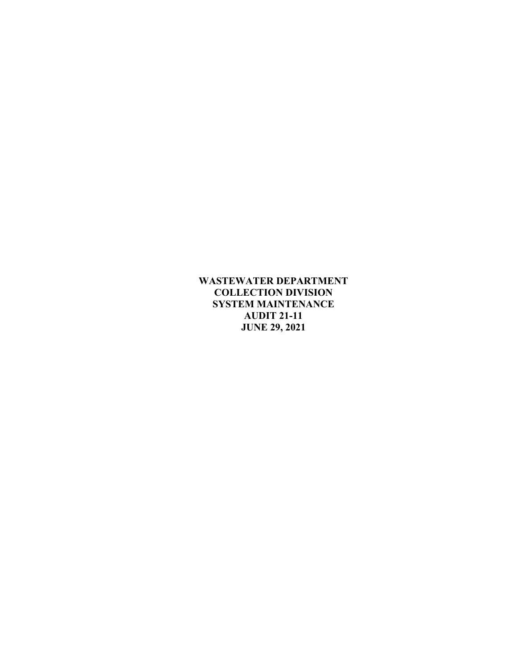**WASTEWATER DEPARTMENT COLLECTION DIVISION SYSTEM MAINTENANCE AUDIT 21-11 JUNE 29, 2021**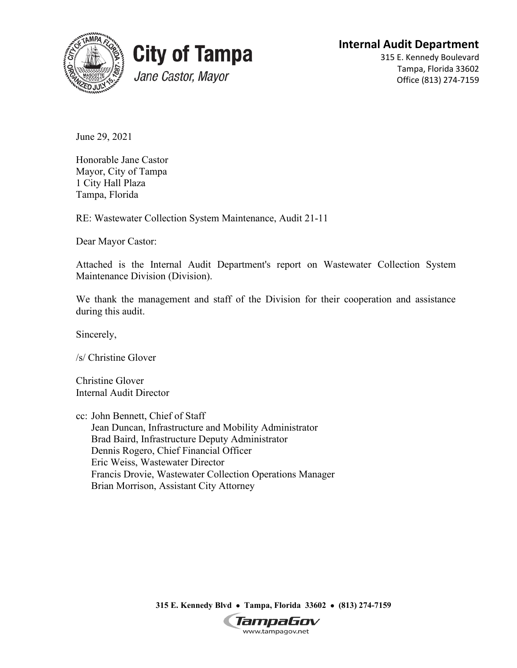



# **Internal Audit Department**

315 E. Kennedy Boulevard Tampa, Florida 33602 Office (813) 274-7159

June 29, 2021

Honorable Jane Castor Mayor, City of Tampa 1 City Hall Plaza Tampa, Florida

RE: Wastewater Collection System Maintenance, Audit 21-11

Dear Mayor Castor:

Attached is the Internal Audit Department's report on Wastewater Collection System Maintenance Division (Division).

We thank the management and staff of the Division for their cooperation and assistance during this audit.

Sincerely,

/s/ Christine Glover

Christine Glover Internal Audit Director

cc: John Bennett, Chief of Staff Jean Duncan, Infrastructure and Mobility Administrator Brad Baird, Infrastructure Deputy Administrator Dennis Rogero, Chief Financial Officer Eric Weiss, Wastewater Director Francis Drovie, Wastewater Collection Operations Manager Brian Morrison, Assistant City Attorney

**315 E. Kennedy Blvd** • **Tampa, Florida 33602** • **(813) 274-7159**

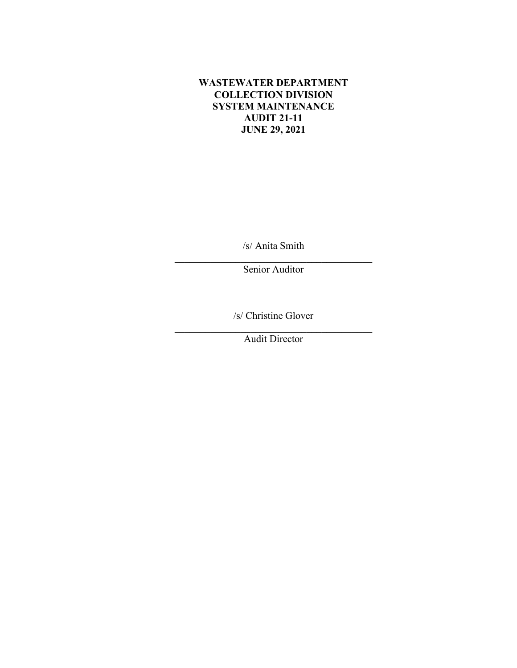### **WASTEWATER DEPARTMENT COLLECTION DIVISION SYSTEM MAINTENANCE AUDIT 21-11 JUNE 29, 2021**

/s/ Anita Smith

\_\_\_\_\_\_\_\_\_\_\_\_\_\_\_\_\_\_\_\_\_\_\_\_\_\_\_\_\_\_\_\_\_\_\_\_\_\_\_ Senior Auditor

/s/ Christine Glover

\_\_\_\_\_\_\_\_\_\_\_\_\_\_\_\_\_\_\_\_\_\_\_\_\_\_\_\_\_\_\_\_\_\_\_\_\_\_\_ Audit Director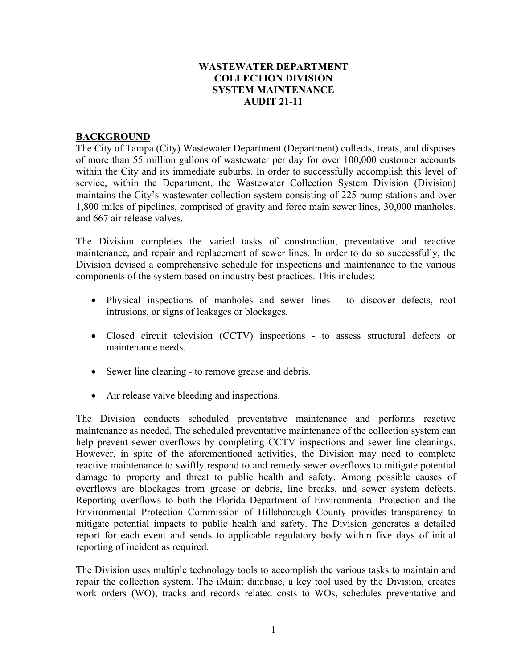#### **WASTEWATER DEPARTMENT COLLECTION DIVISION SYSTEM MAINTENANCE AUDIT 21-11**

#### **BACKGROUND**

The City of Tampa (City) Wastewater Department (Department) collects, treats, and disposes of more than 55 million gallons of wastewater per day for over 100,000 customer accounts within the City and its immediate suburbs. In order to successfully accomplish this level of service, within the Department, the Wastewater Collection System Division (Division) maintains the City's wastewater collection system consisting of 225 pump stations and over 1,800 miles of pipelines, comprised of gravity and force main sewer lines, 30,000 manholes, and 667 air release valves.

The Division completes the varied tasks of construction, preventative and reactive maintenance, and repair and replacement of sewer lines. In order to do so successfully, the Division devised a comprehensive schedule for inspections and maintenance to the various components of the system based on industry best practices. This includes:

- Physical inspections of manholes and sewer lines to discover defects, root intrusions, or signs of leakages or blockages.
- Closed circuit television (CCTV) inspections to assess structural defects or maintenance needs.
- Sewer line cleaning to remove grease and debris.
- Air release valve bleeding and inspections.

The Division conducts scheduled preventative maintenance and performs reactive maintenance as needed. The scheduled preventative maintenance of the collection system can help prevent sewer overflows by completing CCTV inspections and sewer line cleanings. However, in spite of the aforementioned activities, the Division may need to complete reactive maintenance to swiftly respond to and remedy sewer overflows to mitigate potential damage to property and threat to public health and safety. Among possible causes of overflows are blockages from grease or debris, line breaks, and sewer system defects. Reporting overflows to both the Florida Department of Environmental Protection and the Environmental Protection Commission of Hillsborough County provides transparency to mitigate potential impacts to public health and safety. The Division generates a detailed report for each event and sends to applicable regulatory body within five days of initial reporting of incident as required.

The Division uses multiple technology tools to accomplish the various tasks to maintain and repair the collection system. The iMaint database, a key tool used by the Division, creates work orders (WO), tracks and records related costs to WOs, schedules preventative and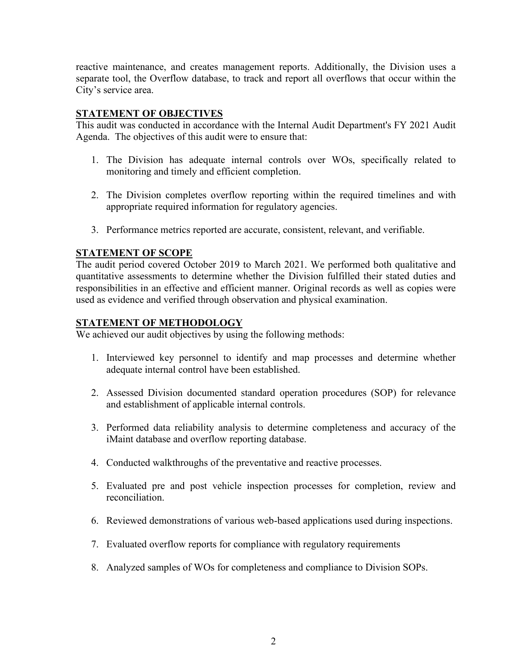reactive maintenance, and creates management reports. Additionally, the Division uses a separate tool, the Overflow database, to track and report all overflows that occur within the City's service area.

### **STATEMENT OF OBJECTIVES**

This audit was conducted in accordance with the Internal Audit Department's FY 2021 Audit Agenda. The objectives of this audit were to ensure that:

- 1. The Division has adequate internal controls over WOs, specifically related to monitoring and timely and efficient completion.
- 2. The Division completes overflow reporting within the required timelines and with appropriate required information for regulatory agencies.
- 3. Performance metrics reported are accurate, consistent, relevant, and verifiable.

## **STATEMENT OF SCOPE**

The audit period covered October 2019 to March 2021. We performed both qualitative and quantitative assessments to determine whether the Division fulfilled their stated duties and responsibilities in an effective and efficient manner. Original records as well as copies were used as evidence and verified through observation and physical examination.

#### **STATEMENT OF METHODOLOGY**

We achieved our audit objectives by using the following methods:

- 1. Interviewed key personnel to identify and map processes and determine whether adequate internal control have been established.
- 2. Assessed Division documented standard operation procedures (SOP) for relevance and establishment of applicable internal controls.
- 3. Performed data reliability analysis to determine completeness and accuracy of the iMaint database and overflow reporting database.
- 4. Conducted walkthroughs of the preventative and reactive processes.
- 5. Evaluated pre and post vehicle inspection processes for completion, review and reconciliation.
- 6. Reviewed demonstrations of various web-based applications used during inspections.
- 7. Evaluated overflow reports for compliance with regulatory requirements
- 8. Analyzed samples of WOs for completeness and compliance to Division SOPs.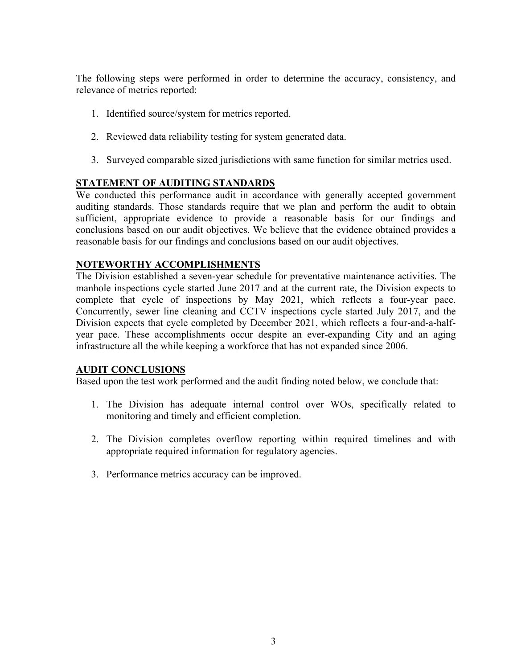The following steps were performed in order to determine the accuracy, consistency, and relevance of metrics reported:

- 1. Identified source/system for metrics reported.
- 2. Reviewed data reliability testing for system generated data.
- 3. Surveyed comparable sized jurisdictions with same function for similar metrics used.

## **STATEMENT OF AUDITING STANDARDS**

We conducted this performance audit in accordance with generally accepted government auditing standards. Those standards require that we plan and perform the audit to obtain sufficient, appropriate evidence to provide a reasonable basis for our findings and conclusions based on our audit objectives. We believe that the evidence obtained provides a reasonable basis for our findings and conclusions based on our audit objectives.

## **NOTEWORTHY ACCOMPLISHMENTS**

The Division established a seven-year schedule for preventative maintenance activities. The manhole inspections cycle started June 2017 and at the current rate, the Division expects to complete that cycle of inspections by May 2021, which reflects a four-year pace. Concurrently, sewer line cleaning and CCTV inspections cycle started July 2017, and the Division expects that cycle completed by December 2021, which reflects a four-and-a-halfyear pace. These accomplishments occur despite an ever-expanding City and an aging infrastructure all the while keeping a workforce that has not expanded since 2006.

#### **AUDIT CONCLUSIONS**

Based upon the test work performed and the audit finding noted below, we conclude that:

- 1. The Division has adequate internal control over WOs, specifically related to monitoring and timely and efficient completion.
- 2. The Division completes overflow reporting within required timelines and with appropriate required information for regulatory agencies.
- 3. Performance metrics accuracy can be improved.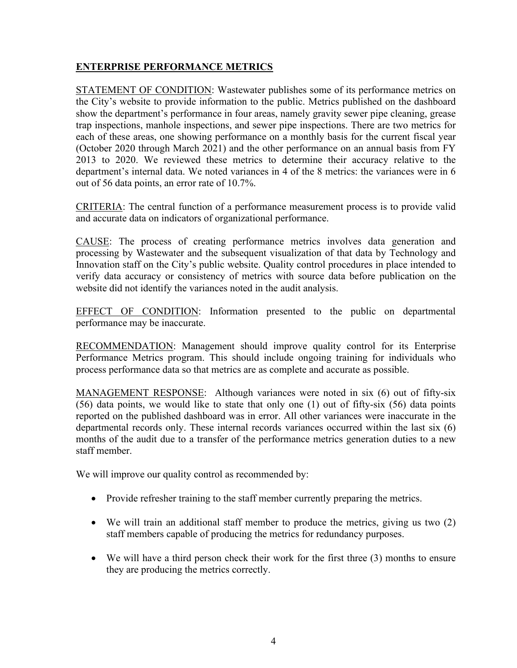## **ENTERPRISE PERFORMANCE METRICS**

STATEMENT OF CONDITION: Wastewater publishes some of its performance metrics on the City's website to provide information to the public. Metrics published on the dashboard show the department's performance in four areas, namely gravity sewer pipe cleaning, grease trap inspections, manhole inspections, and sewer pipe inspections. There are two metrics for each of these areas, one showing performance on a monthly basis for the current fiscal year (October 2020 through March 2021) and the other performance on an annual basis from FY 2013 to 2020. We reviewed these metrics to determine their accuracy relative to the department's internal data. We noted variances in 4 of the 8 metrics: the variances were in 6 out of 56 data points, an error rate of 10.7%.

CRITERIA: The central function of a performance measurement process is to provide valid and accurate data on indicators of organizational performance.

CAUSE: The process of creating performance metrics involves data generation and processing by Wastewater and the subsequent visualization of that data by Technology and Innovation staff on the City's public website. Quality control procedures in place intended to verify data accuracy or consistency of metrics with source data before publication on the website did not identify the variances noted in the audit analysis.

EFFECT OF CONDITION: Information presented to the public on departmental performance may be inaccurate.

RECOMMENDATION: Management should improve quality control for its Enterprise Performance Metrics program. This should include ongoing training for individuals who process performance data so that metrics are as complete and accurate as possible.

MANAGEMENT RESPONSE: Although variances were noted in six (6) out of fifty-six (56) data points, we would like to state that only one (1) out of fifty-six (56) data points reported on the published dashboard was in error. All other variances were inaccurate in the departmental records only. These internal records variances occurred within the last six (6) months of the audit due to a transfer of the performance metrics generation duties to a new staff member.

We will improve our quality control as recommended by:

- Provide refresher training to the staff member currently preparing the metrics.
- We will train an additional staff member to produce the metrics, giving us two (2) staff members capable of producing the metrics for redundancy purposes.
- We will have a third person check their work for the first three (3) months to ensure they are producing the metrics correctly.